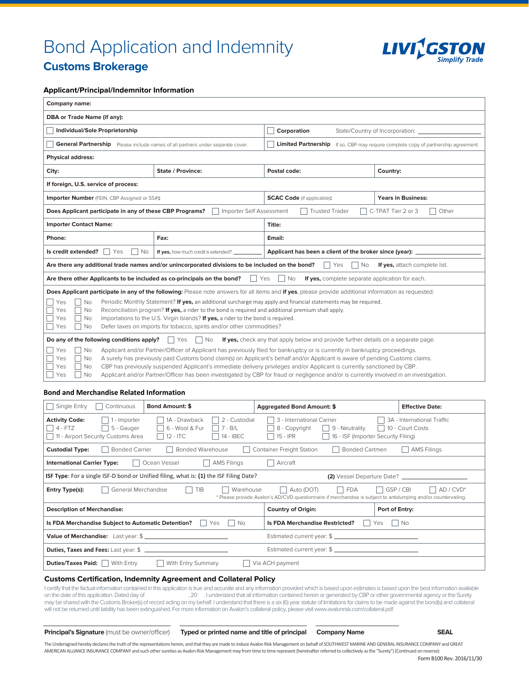# Bond Application and Indemnity



# **Customs Brokerage**

# **Applicant/Principal/Indemnitor Information**

| Company name:                                                                                                                                                                                                                                                                                                                                                                                                                                                                                                                                                                                                                                                                                                                                  |                                      |                                                         |                                                                                           |
|------------------------------------------------------------------------------------------------------------------------------------------------------------------------------------------------------------------------------------------------------------------------------------------------------------------------------------------------------------------------------------------------------------------------------------------------------------------------------------------------------------------------------------------------------------------------------------------------------------------------------------------------------------------------------------------------------------------------------------------------|--------------------------------------|---------------------------------------------------------|-------------------------------------------------------------------------------------------|
| DBA or Trade Name (if any):                                                                                                                                                                                                                                                                                                                                                                                                                                                                                                                                                                                                                                                                                                                    |                                      |                                                         |                                                                                           |
| Individual/Sole Proprietorship                                                                                                                                                                                                                                                                                                                                                                                                                                                                                                                                                                                                                                                                                                                 |                                      | Corporation                                             | State/Country of Incorporation:                                                           |
| General Partnership Please include names of all partners under separate cover.                                                                                                                                                                                                                                                                                                                                                                                                                                                                                                                                                                                                                                                                 |                                      |                                                         | <b>Limited Partnership</b> If so, CBP may require complete copy of partnership agreement. |
| <b>Physical address:</b>                                                                                                                                                                                                                                                                                                                                                                                                                                                                                                                                                                                                                                                                                                                       |                                      |                                                         |                                                                                           |
| City:                                                                                                                                                                                                                                                                                                                                                                                                                                                                                                                                                                                                                                                                                                                                          | <b>State / Province:</b>             | Postal code:                                            | Country:                                                                                  |
| If foreign, U.S. service of process:                                                                                                                                                                                                                                                                                                                                                                                                                                                                                                                                                                                                                                                                                                           |                                      |                                                         |                                                                                           |
| Importer Number (FEIN, CBP Assigned or SS#):                                                                                                                                                                                                                                                                                                                                                                                                                                                                                                                                                                                                                                                                                                   |                                      | <b>SCAC Code</b> (if applicable):                       | <b>Years in Business:</b>                                                                 |
| Does Applicant participate in any of these CBP Programs?<br>Importer Self Assessment<br><b>Trusted Trader</b><br>C-TPAT Tier 2 or 3<br>Other                                                                                                                                                                                                                                                                                                                                                                                                                                                                                                                                                                                                   |                                      |                                                         |                                                                                           |
| <b>Importer Contact Name:</b>                                                                                                                                                                                                                                                                                                                                                                                                                                                                                                                                                                                                                                                                                                                  |                                      | Title:                                                  |                                                                                           |
| Phone:                                                                                                                                                                                                                                                                                                                                                                                                                                                                                                                                                                                                                                                                                                                                         | Fax:                                 | Email:                                                  |                                                                                           |
| Is credit extended?<br>Yes<br>No                                                                                                                                                                                                                                                                                                                                                                                                                                                                                                                                                                                                                                                                                                               | If yes, how much credit is extended? | Applicant has been a client of the broker since (year): |                                                                                           |
| Are there any additional trade names and/or unincorporated divisions to be included on the bond?<br>Yes<br>No<br>If yes, attach complete list.                                                                                                                                                                                                                                                                                                                                                                                                                                                                                                                                                                                                 |                                      |                                                         |                                                                                           |
| Are there other Applicants to be included as co-principals on the bond?<br>If yes, complete separate application for each.<br>Yes<br><b>No</b>                                                                                                                                                                                                                                                                                                                                                                                                                                                                                                                                                                                                 |                                      |                                                         |                                                                                           |
| Does Applicant participate in any of the following: Please note answers for all items and if yes, please provide additional information as requested:<br>Yes<br>Periodic Monthly Statement? If yes, an additional surcharge may apply and financial statements may be required.<br>No<br>Reconciliation program? If yes, a rider to the bond is required and additional premium shall apply.<br>Yes<br><b>No</b><br>Importations to the U.S. Virgin Islands? If yes, a rider to the bond is required.<br>Yes<br><b>No</b><br>Defer taxes on imports for tobacco, spirits and/or other commodities?<br>Yes<br><b>No</b>                                                                                                                         |                                      |                                                         |                                                                                           |
| Do any of the following conditions apply?<br>No<br>If yes, check any that apply below and provide further details on a separate page.<br>Yes<br>Applicant and/or Partner/Officer of Applicant has previously filed for bankruptcy or is currently in bankruptcy proceedings.<br>Yes<br>No<br>Yes<br>A surety has previously paid Customs bond claim(s) on Applicant's behalf and/or Applicant is aware of pending Customs claims.<br>No<br>CBP has previously suspended Applicant's immediate delivery privileges and/or Applicant is currently sanctioned by CBP.<br>Yes<br>Nο<br>Applicant and/or Partner/Officer has been investigated by CBP for fraud or negligence and/or is currently involved in an investigation.<br>Yes<br><b>No</b> |                                      |                                                         |                                                                                           |

### **Bond and Merchandise Related Information**

| Single Entry<br>Continuous<br><b>Bond Amount: \$</b>                                                                                                                                                                                                          | <b>Aggregated Bond Amount: \$</b>                                                                               | <b>Effective Date:</b>                         |
|---------------------------------------------------------------------------------------------------------------------------------------------------------------------------------------------------------------------------------------------------------------|-----------------------------------------------------------------------------------------------------------------|------------------------------------------------|
| 1A - Drawback<br>2 - Custodial<br><b>Activity Code:</b><br>1 - Importer<br>6 - Wool & Fur<br>$4 - FTZ$<br>5 - Gauger<br>$7 - B/L$<br>14 - IBEC<br>11 - Airport Security Customs Area<br>$12 - ITC$                                                            | 3 - International Carrier<br>8 - Copyright<br>9 - Neutrality<br>15 - IPR<br>16 - ISF (Importer Security Filing) | 3A - International Traffic<br>10 - Court Costs |
| Bonded Warehouse<br><b>Bonded Carrier</b><br>Container Freight Station<br><b>Bonded Cartmen</b><br><b>AMS Filings</b><br><b>Custodial Type:</b>                                                                                                               |                                                                                                                 |                                                |
| Ocean Vessel<br><b>AMS Filings</b><br>Aircraft<br><b>International Carrier Type:</b>                                                                                                                                                                          |                                                                                                                 |                                                |
| ISF Type: For a single ISF-D bond or Unified filing, what is: (1) the ISF Filing Date?                                                                                                                                                                        |                                                                                                                 |                                                |
| TIB<br>GSP / CBI<br>AD / CVD <sup>*</sup><br>General Merchandise<br>Warehouse<br>Auto (DOT)<br><b>FDA</b><br>Entry Type(s):<br>$\mathbf{I}$<br>* Please provide Avalon's AD/CVD questionnaire if merchandise is subject to antidumping and/or countervailing. |                                                                                                                 |                                                |
| <b>Description of Merchandise:</b>                                                                                                                                                                                                                            | <b>Country of Origin:</b>                                                                                       | Port of Entry:                                 |
| Is FDA Merchandise Subject to Automatic Detention?<br><b>Is FDA Merchandise Restricted?</b><br><b>No</b><br><b>No</b><br>Yes<br>Yes<br>L                                                                                                                      |                                                                                                                 |                                                |
| Value of Merchandise: Last year: \$                                                                                                                                                                                                                           |                                                                                                                 |                                                |
| Duties, Taxes and Fees: Last year: \$                                                                                                                                                                                                                         |                                                                                                                 |                                                |
| With Entry Summary<br><b>Duties/Taxes Paid:</b><br>With Entry<br>Via ACH payment                                                                                                                                                                              |                                                                                                                 |                                                |

## **Customs Certification, Indemnity Agreement and Collateral Policy**

I certify that the factual information contained in this application is true and accurate and any information provided which is based upon estimates is based upon the best information available<br>on the date of this applicat , 20 . I understand that all information contained herein or generated by CBP or other governmental agency or the Surety may be shared with the Customs Broker(s) of record acting on my behalf. I understand that there is a six (6) year statute of limitations for claims to be made against the bond(s) and collateral will not be returned until liability has been extinguished. For more information on Avalon's collateral policy, please visit www.avalonrisk.com/collateral.pdf.

**Principal's Signature** (must be owner/officer) **Typed or printed name and title of principal Company Name SEAL**

The Undersigned hereby declares the truth of the representations herein, and that they are made to induce Avalon Risk Management on behalf of SOUTHWEST MARINE AND GENERAL INSURANCE COMPANY and GREAT AMERICANALLIANCE INSURANCE COMPANY and such other sureties as Avalon Risk Management may from time to time represent (hereinafter referred to collectively as the "Surety") (Continued on reverse):